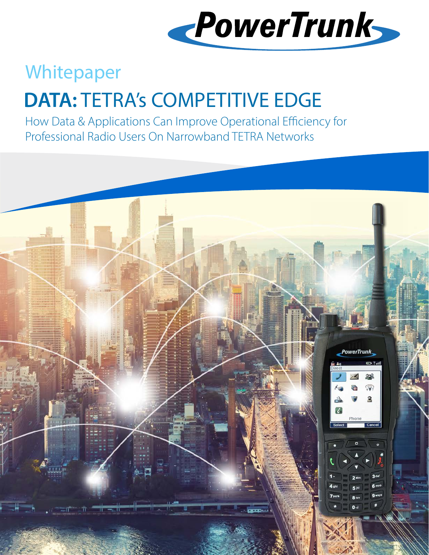

## Whitepaper

# **DATA:** TETRA's COMPETITIVE EDGE

How Data & Applications Can Improve Operational Efficiency for Professional Radio Users On Narrowband TETRA Networks

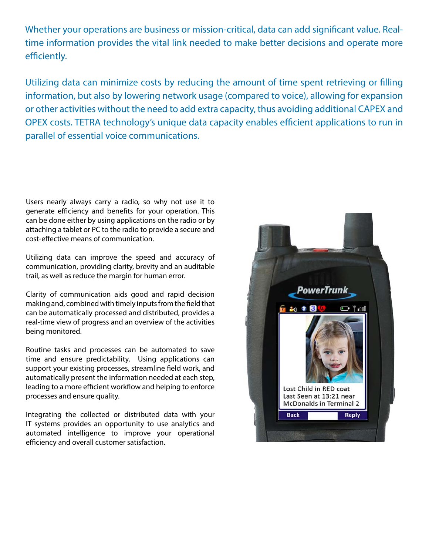Whether your operations are business or mission-critical, data can add significant value. Realtime information provides the vital link needed to make better decisions and operate more efficiently.

Utilizing data can minimize costs by reducing the amount of time spent retrieving or filling information, but also by lowering network usage (compared to voice), allowing for expansion or other activities without the need to add extra capacity, thus avoiding additional CAPEX and OPEX costs. TETRA technology's unique data capacity enables efficient applications to run in parallel of essential voice communications.

Users nearly always carry a radio, so why not use it to generate efficiency and benefits for your operation. This can be done either by using applications on the radio or by attaching a tablet or PC to the radio to provide a secure and cost-effective means of communication.

Utilizing data can improve the speed and accuracy of communication, providing clarity, brevity and an auditable trail, as well as reduce the margin for human error.

Clarity of communication aids good and rapid decision making and, combined with timely inputs from the field that can be automatically processed and distributed, provides a real-time view of progress and an overview of the activities being monitored.

Routine tasks and processes can be automated to save time and ensure predictability. Using applications can support your existing processes, streamline field work, and automatically present the information needed at each step, leading to a more efficient workflow and helping to enforce processes and ensure quality.

Integrating the collected or distributed data with your IT systems provides an opportunity to use analytics and automated intelligence to improve your operational efficiency and overall customer satisfaction.

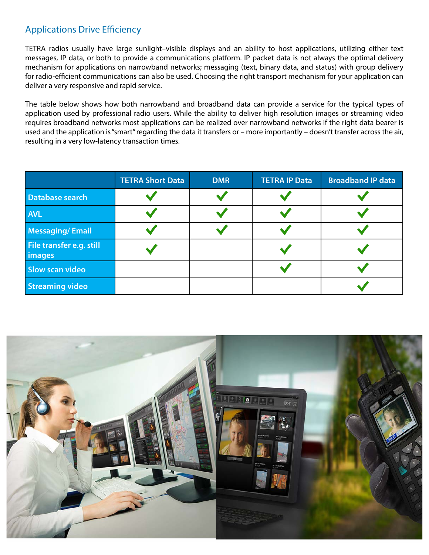#### Applications Drive Efficiency

TETRA radios usually have large sunlight–visible displays and an ability to host applications, utilizing either text messages, IP data, or both to provide a communications platform. IP packet data is not always the optimal delivery mechanism for applications on narrowband networks; messaging (text, binary data, and status) with group delivery for radio-efficient communications can also be used. Choosing the right transport mechanism for your application can deliver a very responsive and rapid service.

The table below shows how both narrowband and broadband data can provide a service for the typical types of application used by professional radio users. While the ability to deliver high resolution images or streaming video requires broadband networks most applications can be realized over narrowband networks if the right data bearer is used and the application is "smart" regarding the data it transfers or – more importantly – doesn't transfer across the air, resulting in a very low-latency transaction times.

|                                           | <b>TETRA Short Data</b> | <b>DMR</b> | <b>TETRA IP Data</b> | <b>Broadband IP data</b> |
|-------------------------------------------|-------------------------|------------|----------------------|--------------------------|
| Database search                           |                         |            |                      |                          |
| <b>AVL</b>                                |                         |            |                      |                          |
| Messaging/Email                           |                         |            |                      |                          |
| File transfer e.g. still<br><i>images</i> |                         |            |                      |                          |
| <b>Slow scan video</b>                    |                         |            |                      |                          |
| <b>Streaming video</b>                    |                         |            |                      |                          |

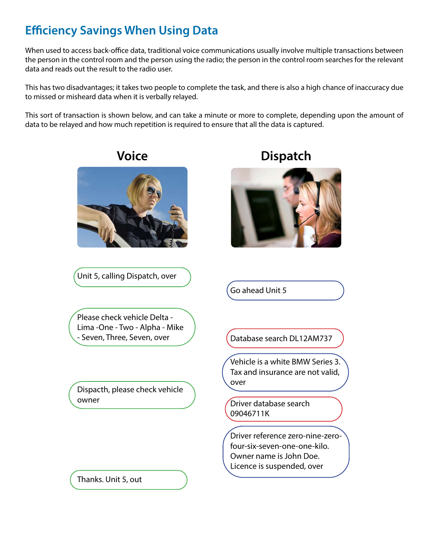## **Efficiency Savings When Using Data**

When used to access back-office data, traditional voice communications usually involve multiple transactions between the person in the control room and the person using the radio; the person in the control room searches for the relevant data and reads out the result to the radio user.

This has two disadvantages; it takes two people to complete the task, and there is also a high chance of inaccuracy due to missed or misheard data when it is verbally relayed.

This sort of transaction is shown below, and can take a minute or more to complete, depending upon the amount of data to be relayed and how much repetition is required to ensure that all the data is captured.



Unit 5, calling Dispatch, over



Go ahead Unit 5

Please check vehicle Delta - Lima -One - Two - Alpha - Mike - Seven, Three, Seven, over July (Database search DL12AM737

Dispacth, please check vehicle owner

Vehicle is a white BMW Series 3. Tax and insurance are not valid, over

Driver database search 09046711K

Driver reference zero-nine-zerofour-six-seven-one-one-kilo. Owner name is John Doe. Licence is suspended, over

Thanks. Unit 5, out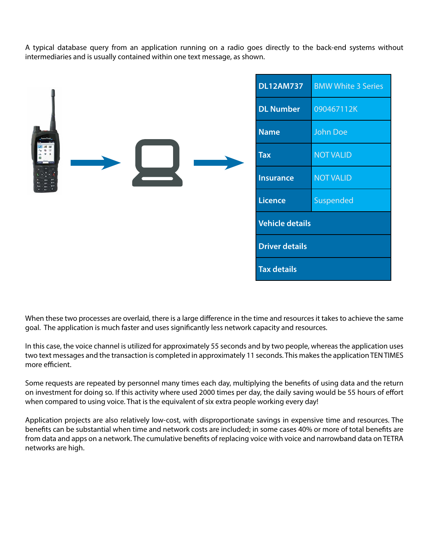A typical database query from an application running on a radio goes directly to the back-end systems without intermediaries and is usually contained within one text message, as shown.

|                            | <b>DL12AM737</b>      | <b>BMW White 3 Series</b> |
|----------------------------|-----------------------|---------------------------|
|                            | <b>DL Number</b>      | 090467112K                |
| <b><i>Passworthunk</i></b> | <b>Name</b>           | John Doe                  |
|                            | <b>Tax</b>            | <b>NOT VALID</b>          |
|                            | <b>Insurance</b>      | <b>NOT VALID</b>          |
|                            | <b>Licence</b>        | Suspended                 |
|                            | Vehicle details       |                           |
|                            | <b>Driver details</b> |                           |
|                            | <b>Tax details</b>    |                           |

When these two processes are overlaid, there is a large difference in the time and resources it takes to achieve the same goal. The application is much faster and uses significantly less network capacity and resources.

In this case, the voice channel is utilized for approximately 55 seconds and by two people, whereas the application uses two text messages and the transaction is completed in approximately 11 seconds. This makes the application TEN TIMES more efficient.

Some requests are repeated by personnel many times each day, multiplying the benefits of using data and the return on investment for doing so. If this activity where used 2000 times per day, the daily saving would be 55 hours of effort when compared to using voice. That is the equivalent of six extra people working every day!

Application projects are also relatively low-cost, with disproportionate savings in expensive time and resources. The benefits can be substantial when time and network costs are included; in some cases 40% or more of total benefits are from data and apps on a network. The cumulative benefits of replacing voice with voice and narrowband data on TETRA networks are high.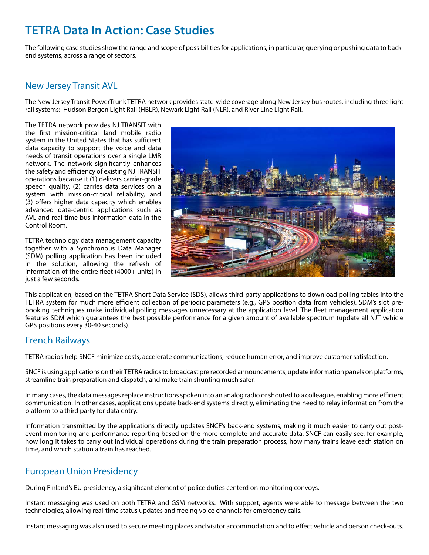### **TETRA Data In Action: Case Studies**

The following case studies show the range and scope of possibilities for applications, in particular, querying or pushing data to backend systems, across a range of sectors.

#### New Jersey Transit AVL

The New Jersey Transit PowerTrunk TETRA network provides state-wide coverage along New Jersey bus routes, including three light rail systems: Hudson Bergen Light Rail (HBLR), Newark Light Rail (NLR), and River Line Light Rail.

The TETRA network provides NJ TRANSIT with the first mission-critical land mobile radio system in the United States that has sufficient data capacity to support the voice and data needs of transit operations over a single LMR network. The network significantly enhances the safety and efficiency of existing NJ TRANSIT operations because it (1) delivers carrier-grade speech quality, (2) carries data services on a system with mission-critical reliability, and (3) offers higher data capacity which enables advanced data-centric applications such as AVL and real-time bus information data in the Control Room.

TETRA technology data management capacity together with a Synchronous Data Manager (SDM) polling application has been included in the solution, allowing the refresh of information of the entire fleet (4000+ units) in just a few seconds.



This application, based on the TETRA Short Data Service (SDS), allows third-party applications to download polling tables into the TETRA system for much more efficient collection of periodic parameters (e.g., GPS position data from vehicles). SDM's slot prebooking techniques make individual polling messages unnecessary at the application level. The fleet management application features SDM which guarantees the best possible performance for a given amount of available spectrum (update all NJT vehicle GPS positions every 30-40 seconds).

#### French Railways

TETRA radios help SNCF minimize costs, accelerate communications, reduce human error, and improve customer satisfaction.

SNCF is using applications on their TETRA radios to broadcast pre recorded announcements, update information panels on platforms, streamline train preparation and dispatch, and make train shunting much safer.

In many cases, the data messages replace instructions spoken into an analog radio or shouted to a colleague, enabling more efficient communication. In other cases, applications update back-end systems directly, eliminating the need to relay information from the platform to a third party for data entry.

Information transmitted by the applications directly updates SNCF's back-end systems, making it much easier to carry out postevent monitoring and performance reporting based on the more complete and accurate data. SNCF can easily see, for example, how long it takes to carry out individual operations during the train preparation process, how many trains leave each station on time, and which station a train has reached.

#### European Union Presidency

During Finland's EU presidency, a significant element of police duties centerd on monitoring convoys.

Instant messaging was used on both TETRA and GSM networks. With support, agents were able to message between the two technologies, allowing real-time status updates and freeing voice channels for emergency calls.

Instant messaging was also used to secure meeting places and visitor accommodation and to effect vehicle and person check-outs.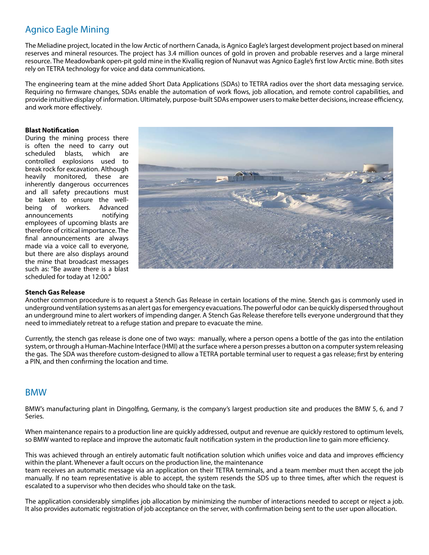#### Agnico Eagle Mining

The Meliadine project, located in the low Arctic of northern Canada, is Agnico Eagle's largest development project based on mineral reserves and mineral resources. The project has 3.4 million ounces of gold in proven and probable reserves and a large mineral resource. The Meadowbank open-pit gold mine in the Kivalliq region of Nunavut was Agnico Eagle's first low Arctic mine. Both sites rely on TETRA technology for voice and data communications.

The engineering team at the mine added Short Data Applications (SDAs) to TETRA radios over the short data messaging service. Requiring no firmware changes, SDAs enable the automation of work flows, job allocation, and remote control capabilities, and provide intuitive display of information. Ultimately, purpose-built SDAs empower users to make better decisions, increase efficiency, and work more effectively.

#### **Blast Notification**

During the mining process there is often the need to carry out scheduled blasts, which are controlled explosions used to break rock for excavation. Although heavily monitored, these are inherently dangerous occurrences and all safety precautions must be taken to ensure the wellbeing of workers. Advanced announcements notifying employees of upcoming blasts are therefore of critical importance. The final announcements are always made via a voice call to everyone, but there are also displays around the mine that broadcast messages such as: "Be aware there is a blast scheduled for today at 12:00."



#### **Stench Gas Release**

Another common procedure is to request a Stench Gas Release in certain locations of the mine. Stench gas is commonly used in underground ventilation systems as an alert gas for emergency evacuations. The powerful odor can be quickly dispersed throughout an underground mine to alert workers of impending danger. A Stench Gas Release therefore tells everyone underground that they need to immediately retreat to a refuge station and prepare to evacuate the mine.

Currently, the stench gas release is done one of two ways: manually, where a person opens a bottle of the gas into the entilation system, or through a Human-Machine Interface (HMI) at the surface where a person presses a button on a computer system releasing the gas. The SDA was therefore custom-designed to allow a TETRA portable terminal user to request a gas release; first by entering a PIN, and then confirming the location and time.

#### BMW

BMW's manufacturing plant in Dingolfing, Germany, is the company's largest production site and produces the BMW 5, 6, and 7 Series.

When maintenance repairs to a production line are quickly addressed, output and revenue are quickly restored to optimum levels, so BMW wanted to replace and improve the automatic fault notification system in the production line to gain more efficiency.

This was achieved through an entirely automatic fault notification solution which unifies voice and data and improves efficiency within the plant. Whenever a fault occurs on the production line, the maintenance team receives an automatic message via an application on their TETRA terminals, and a team member must then accept the job manually. If no team representative is able to accept, the system resends the SDS up to three times, after which the request is escalated to a supervisor who then decides who should take on the task.

The application considerably simplifies job allocation by minimizing the number of interactions needed to accept or reject a job. It also provides automatic registration of job acceptance on the server, with confirmation being sent to the user upon allocation.